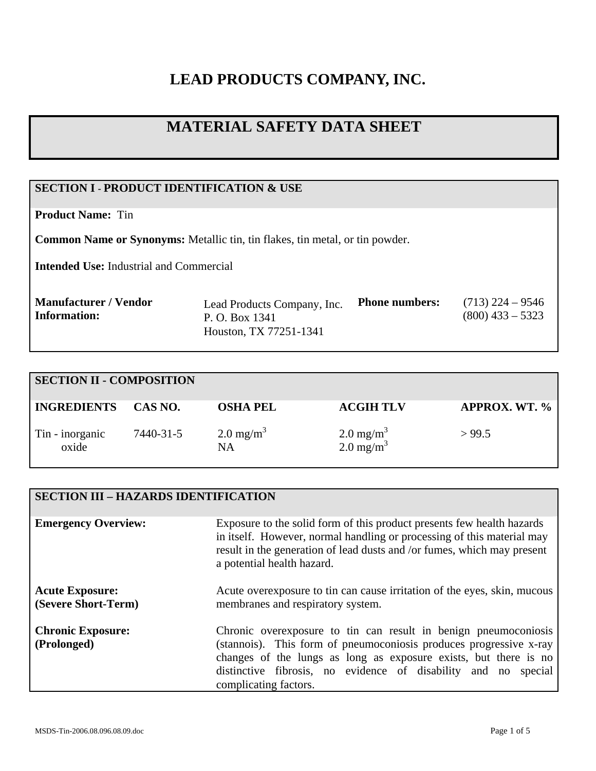# **LEAD PRODUCTS COMPANY, INC.**

## **MATERIAL SAFETY DATA SHEET**

## **SECTION I - PRODUCT IDENTIFICATION & USE**

**Product Name:** Tin

**Common Name or Synonyms:** Metallic tin, tin flakes, tin metal, or tin powder.

**Intended Use:** Industrial and Commercial

| Manufacturer / Vendor | Lead Products Company, Inc. | <b>Phone numbers:</b> | $(713)$ 224 – 9546 |
|-----------------------|-----------------------------|-----------------------|--------------------|
| Information:          | P. O. Box 1341              |                       | $(800)$ 433 – 5323 |
|                       | Houston, TX 77251-1341      |                       |                    |

| <b>SECTION II - COMPOSITION</b> |           |                                   |                                               |                        |
|---------------------------------|-----------|-----------------------------------|-----------------------------------------------|------------------------|
| <b>INGREDIENTS</b>              | CAS NO.   | <b>OSHA PEL</b>                   | <b>ACGIH TLV</b>                              | <b>APPROX. WT. %  </b> |
| Tin - inorganic<br>oxide        | 7440-31-5 | $2.0 \text{ mg/m}^3$<br><b>NA</b> | $2.0 \text{ mg/m}^3$<br>2.0 mg/m <sup>3</sup> | > 99.5                 |

| <b>SECTION III - HAZARDS IDENTIFICATION</b>   |                                                                                                                                                                                                                                                                                                      |
|-----------------------------------------------|------------------------------------------------------------------------------------------------------------------------------------------------------------------------------------------------------------------------------------------------------------------------------------------------------|
| <b>Emergency Overview:</b>                    | Exposure to the solid form of this product presents few health hazards<br>in itself. However, normal handling or processing of this material may<br>result in the generation of lead dusts and /or fumes, which may present<br>a potential health hazard.                                            |
| <b>Acute Exposure:</b><br>(Severe Short-Term) | Acute over exposure to tin can cause irritation of the eyes, skin, mucous<br>membranes and respiratory system.                                                                                                                                                                                       |
| <b>Chronic Exposure:</b><br>(Prolonged)       | Chronic overexposure to tin can result in benign pneumoconiosis<br>(stannois). This form of pneumoconiosis produces progressive x-ray<br>changes of the lungs as long as exposure exists, but there is no<br>distinctive fibrosis, no evidence of disability and no special<br>complicating factors. |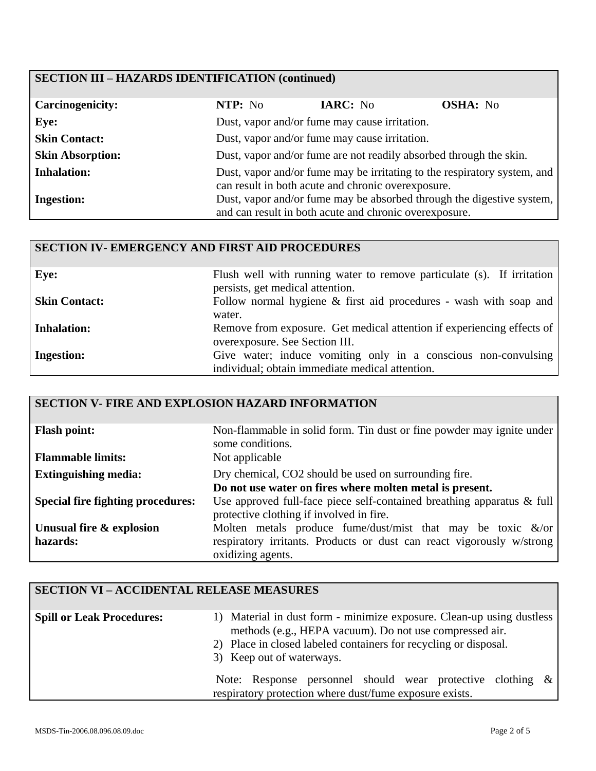#### **SECTION III – HAZARDS IDENTIFICATION (continued)**

| <b>Carcinogenicity:</b> | NTP: No                                       | IARC: No                                                           | <b>OSHA:</b> No                                                          |
|-------------------------|-----------------------------------------------|--------------------------------------------------------------------|--------------------------------------------------------------------------|
| Eye:                    | Dust, vapor and/or fume may cause irritation. |                                                                    |                                                                          |
| <b>Skin Contact:</b>    |                                               | Dust, vapor and/or fume may cause irritation.                      |                                                                          |
| <b>Skin Absorption:</b> |                                               | Dust, vapor and/or fume are not readily absorbed through the skin. |                                                                          |
| <b>Inhalation:</b>      |                                               | can result in both acute and chronic overexposure.                 | Dust, vapor and/or fume may be irritating to the respiratory system, and |
| <b>Ingestion:</b>       |                                               | and can result in both acute and chronic overexposure.             | Dust, vapor and/or fume may be absorbed through the digestive system,    |

#### **SECTION IV- EMERGENCY AND FIRST AID PROCEDURES**

| Eye:                 | Flush well with running water to remove particulate (s). If irritation |
|----------------------|------------------------------------------------------------------------|
|                      | persists, get medical attention.                                       |
| <b>Skin Contact:</b> | Follow normal hygiene $\&$ first aid procedures - wash with soap and   |
|                      | water.                                                                 |
|                      |                                                                        |
| <b>Inhalation:</b>   | Remove from exposure. Get medical attention if experiencing effects of |
|                      | overexposure. See Section III.                                         |
| <b>Ingestion:</b>    | Give water; induce vomiting only in a conscious non-convulsing         |
|                      |                                                                        |
|                      | individual; obtain immediate medical attention.                        |

#### **SECTION V- FIRE AND EXPLOSION HAZARD INFORMATION Flash point:** Non-flammable in solid form. Tin dust or fine powder may ignite under some conditions. **Flammable limits:** Not applicable **Extinguishing media:** Dry chemical, CO2 should be used on surrounding fire. **Do not use water on fires where molten metal is present. Special fire fighting procedures:** Use approved full-face piece self-contained breathing apparatus & full protective clothing if involved in fire. **Unusual fire & explosion hazards:**  Molten metals produce fume/dust/mist that may be toxic &/or respiratory irritants. Products or dust can react vigorously w/strong oxidizing agents.

| <b>SECTION VI - ACCIDENTAL RELEASE MEASURES</b> |                                                                                                                                                                                                                                   |
|-------------------------------------------------|-----------------------------------------------------------------------------------------------------------------------------------------------------------------------------------------------------------------------------------|
| <b>Spill or Leak Procedures:</b>                | 1) Material in dust form - minimize exposure. Clean-up using dustless<br>methods (e.g., HEPA vacuum). Do not use compressed air.<br>2) Place in closed labeled containers for recycling or disposal.<br>3) Keep out of waterways. |
|                                                 | Note: Response personnel should wear protective clothing $\&$<br>respiratory protection where dust/fume exposure exists.                                                                                                          |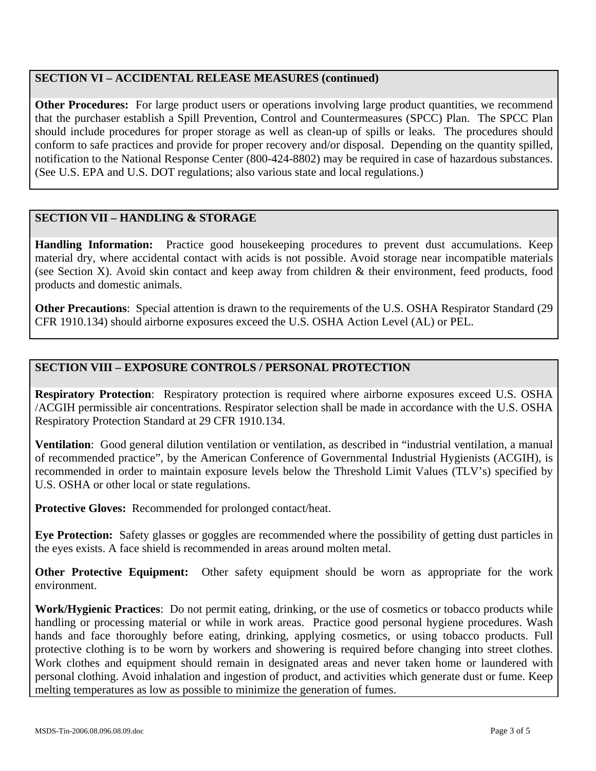### **SECTION VI – ACCIDENTAL RELEASE MEASURES (continued)**

**Other Procedures:** For large product users or operations involving large product quantities, we recommend that the purchaser establish a Spill Prevention, Control and Countermeasures (SPCC) Plan. The SPCC Plan should include procedures for proper storage as well as clean-up of spills or leaks. The procedures should conform to safe practices and provide for proper recovery and/or disposal. Depending on the quantity spilled, notification to the National Response Center (800-424-8802) may be required in case of hazardous substances. (See U.S. EPA and U.S. DOT regulations; also various state and local regulations.)

#### **SECTION VII – HANDLING & STORAGE**

**Handling Information:** Practice good housekeeping procedures to prevent dust accumulations. Keep material dry, where accidental contact with acids is not possible. Avoid storage near incompatible materials (see Section X). Avoid skin contact and keep away from children & their environment, feed products, food products and domestic animals.

**Other Precautions**: Special attention is drawn to the requirements of the U.S. OSHA Respirator Standard (29 CFR 1910.134) should airborne exposures exceed the U.S. OSHA Action Level (AL) or PEL.

## **SECTION VIII – EXPOSURE CONTROLS / PERSONAL PROTECTION**

**Respiratory Protection**: Respiratory protection is required where airborne exposures exceed U.S. OSHA /ACGIH permissible air concentrations. Respirator selection shall be made in accordance with the U.S. OSHA Respiratory Protection Standard at 29 CFR 1910.134.

**Ventilation**: Good general dilution ventilation or ventilation, as described in "industrial ventilation, a manual of recommended practice", by the American Conference of Governmental Industrial Hygienists (ACGIH), is recommended in order to maintain exposure levels below the Threshold Limit Values (TLV's) specified by U.S. OSHA or other local or state regulations.

**Protective Gloves:** Recommended for prolonged contact/heat.

**Eye Protection:** Safety glasses or goggles are recommended where the possibility of getting dust particles in the eyes exists. A face shield is recommended in areas around molten metal.

**Other Protective Equipment:** Other safety equipment should be worn as appropriate for the work environment.

**Work/Hygienic Practices**: Do not permit eating, drinking, or the use of cosmetics or tobacco products while handling or processing material or while in work areas. Practice good personal hygiene procedures. Wash hands and face thoroughly before eating, drinking, applying cosmetics, or using tobacco products. Full protective clothing is to be worn by workers and showering is required before changing into street clothes. Work clothes and equipment should remain in designated areas and never taken home or laundered with personal clothing. Avoid inhalation and ingestion of product, and activities which generate dust or fume. Keep melting temperatures as low as possible to minimize the generation of fumes.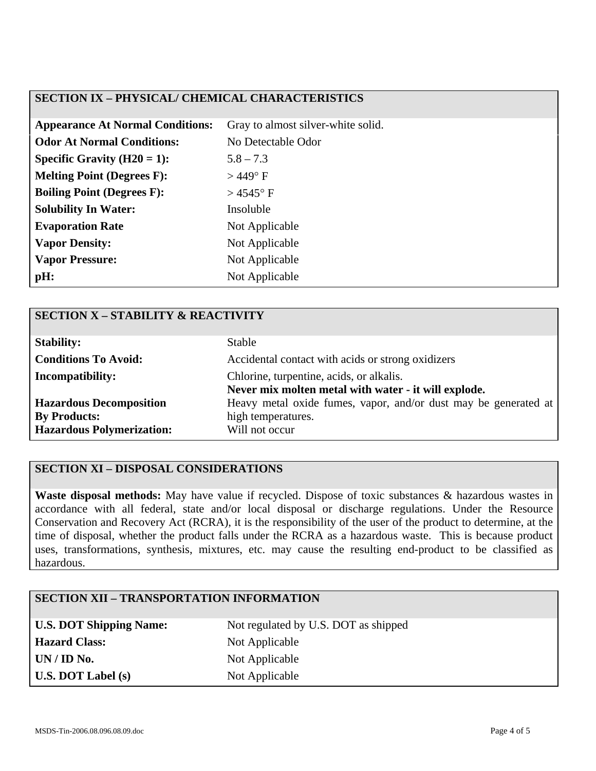#### **SECTION IX – PHYSICAL/ CHEMICAL CHARACTERISTICS**

| <b>Appearance At Normal Conditions:</b> | Gray to almost silver-white solid. |
|-----------------------------------------|------------------------------------|
| <b>Odor At Normal Conditions:</b>       | No Detectable Odor                 |
| Specific Gravity $(H20 = 1)$ :          | $5.8 - 7.3$                        |
| <b>Melting Point (Degrees F):</b>       | $>449^{\circ}$ F                   |
| <b>Boiling Point (Degrees F):</b>       | $>$ 4545 $\degree$ F               |
| <b>Solubility In Water:</b>             | Insoluble                          |
| <b>Evaporation Rate</b>                 | Not Applicable                     |
| <b>Vapor Density:</b>                   | Not Applicable                     |
| <b>Vapor Pressure:</b>                  | Not Applicable                     |
| pH:                                     | Not Applicable                     |

| <b>SECTION X - STABILITY &amp; REACTIVITY</b> |                                                                 |
|-----------------------------------------------|-----------------------------------------------------------------|
| <b>Stability:</b>                             | <b>Stable</b>                                                   |
| <b>Conditions To Avoid:</b>                   | Accidental contact with acids or strong oxidizers               |
| <b>Incompatibility:</b>                       | Chlorine, turpentine, acids, or alkalis.                        |
|                                               | Never mix molten metal with water - it will explode.            |
| <b>Hazardous Decomposition</b>                | Heavy metal oxide fumes, vapor, and/or dust may be generated at |
| <b>By Products:</b>                           | high temperatures.                                              |
| <b>Hazardous Polymerization:</b>              | Will not occur                                                  |

### **SECTION XI – DISPOSAL CONSIDERATIONS**

**Waste disposal methods:** May have value if recycled. Dispose of toxic substances & hazardous wastes in accordance with all federal, state and/or local disposal or discharge regulations. Under the Resource Conservation and Recovery Act (RCRA), it is the responsibility of the user of the product to determine, at the time of disposal, whether the product falls under the RCRA as a hazardous waste. This is because product uses, transformations, synthesis, mixtures, etc. may cause the resulting end-product to be classified as hazardous.

## **SECTION XII – TRANSPORTATION INFORMATION**

Hazard Class: Not Applicable **UN / ID No.** Not Applicable **U.S. DOT Label (s)** Not Applicable

U.S. DOT Shipping Name: Not regulated by U.S. DOT as shipped